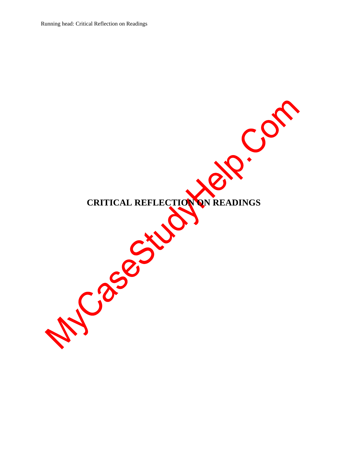Running head: Critical Reflection on Readings

O. COS CRITICAL REFLECTION ON READINGS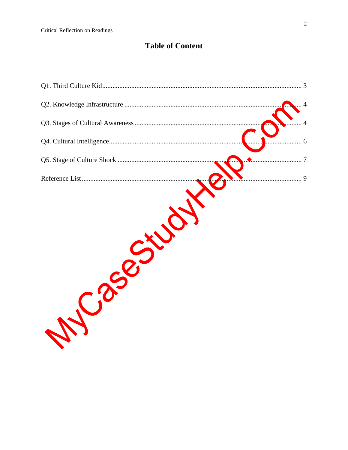# **Table of Content**

| $\overline{4}$ |
|----------------|
|                |
| 6              |
| 7              |
|                |
|                |
|                |
|                |
|                |
|                |
|                |
|                |
|                |
|                |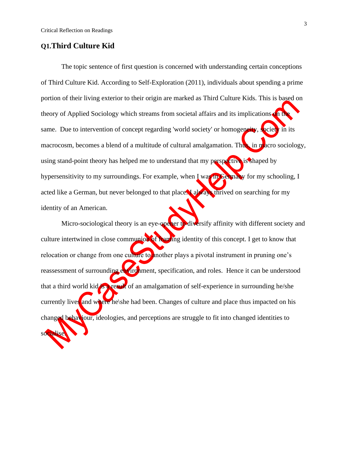### <span id="page-2-0"></span>**Q1.Third Culture Kid**

The topic sentence of first question is concerned with understanding certain conceptions of Third Culture Kid. According to Self-Exploration (2011), individuals about spending a prime portion of their living exterior to their origin are marked as Third Culture Kids. This is based on theory of Applied Sociology which streams from societal affairs and its implications on the same. Due to intervention of concept regarding 'world society' or homogeneity, society in its macrocosm, becomes a blend of a multitude of cultural amalgamation. Thus, in macro sociology, using stand-point theory has helped me to understand that my perspective is shaped by hypersensitivity to my surroundings. For example, when I was in Germany for my schooling, I acted like a German, but never belonged to that place. Lake a thrived on searching for my identity of an American.

Micro-sociological theory is an eye-opener to diversify affinity with different society and culture intertwined in close communion of **framing** identity of this concept. I get to know that relocation or change from one culture to another plays a pivotal instrument in pruning one's reassessment of surrounding environment, specification, and roles. Hence it can be understood that a third world kid is a result of an amalgamation of self-experience in surrounding he/she currently lives and where he\she had been. Changes of culture and place thus impacted on his changed behaviour, ideologies, and perceptions are struggle to fit into changed identities to socialise.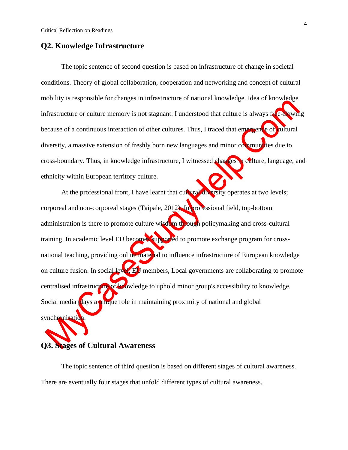#### <span id="page-3-0"></span>**Q2. Knowledge Infrastructure**

The topic sentence of second question is based on infrastructure of change in societal conditions. Theory of global collaboration, cooperation and networking and concept of cultural mobility is responsible for changes in infrastructure of national knowledge. Idea of knowledge infrastructure or culture memory is not stagnant. I understood that culture is always free-flowing because of a continuous interaction of other cultures. Thus, I traced that emergence of cultural diversity, a massive extension of freshly born new languages and minor communities due to cross-boundary. Thus, in knowledge infrastructure, I witnessed changes in culture, language, and ethnicity within European territory culture.

At the professional front, I have learnt that cultural diversity operates at two levels; corporeal and non-corporeal stages (Taipale, 2012). In professional field, top-bottom administration is there to promote culture wisdom through policymaking and cross-cultural training. In academic level EU becomes supported to promote exchange program for crossnational teaching, providing online material to influence infrastructure of European knowledge on culture fusion. In social level, EU members, Local governments are collaborating to promote centralised infrastructure of knowledge to uphold minor group's accessibility to knowledge. Social media plays a unique role in maintaining proximity of national and global synchronisation.

## <span id="page-3-1"></span>**Q3. Stages of Cultural Awareness**

The topic sentence of third question is based on different stages of cultural awareness. There are eventually four stages that unfold different types of cultural awareness.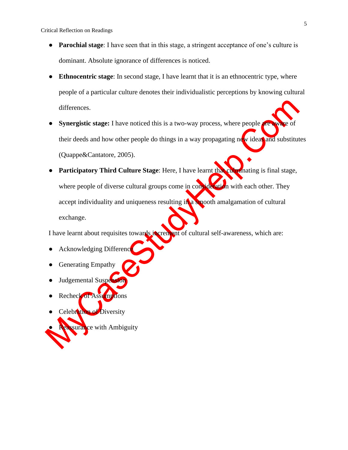Critical Reflection on Readings

- **Parochial stage**: I have seen that in this stage, a stringent acceptance of one's culture is dominant. Absolute ignorance of differences is noticed.
- **Ethnocentric stage**: In second stage, I have learnt that it is an ethnocentric type, where people of a particular culture denotes their individualistic perceptions by knowing cultural differences.
- **Synergistic stage:** I have noticed this is a two-way process, where people are their deeds and how other people do things in a way propagating new ideas and substitutes (Quappe&Cantatore, 2005).
- **Participatory Third Culture Stage:** Here, I have learnt that culminating is final stage, where people of diverse cultural groups come in consideration with each other. They accept individuality and uniqueness resulting in a smooth amalgamation of cultural exchange.

I have learnt about requisites towards increment of cultural self-awareness, which are:

- Acknowledging Difference
- **Generating Empathy**
- Judgemental Suspension
- Recheck of Assumptions
- Celebration of Diversity
- ssurance with Ambiguity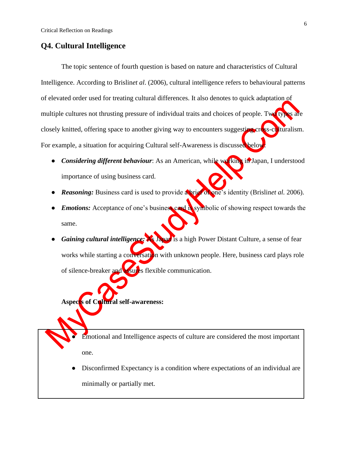### <span id="page-5-0"></span>**Q4. Cultural Intelligence**

The topic sentence of fourth question is based on nature and characteristics of Cultural Intelligence. According to Brislin*et al*. (2006), cultural intelligence refers to behavioural patterns of elevated order used for treating cultural differences. It also denotes to quick adaptation of multiple cultures not thrusting pressure of individual traits and choices of people. Two types are closely knitted, offering space to another giving way to encounters suggesting cross-culturalism. For example, a situation for acquiring Cultural self-Awareness is discussed below

- **Considering different behaviour:** As an American, while working in Japan, I understood importance of using business card.
- *Reasoning:* Business card is used to provide a brief of one's identity (Brislin*et al.* 2006).
- *Emotions:* Acceptance of one's business card is symbolic of showing respect towards the same.
- *Gaining cultural intelligence:* As Japan is a high Power Distant Culture, a sense of fear works while starting a conversation with unknown people. Here, business card plays role of silence-breaker and **assure**s flexible communication.

**Aspects of Cultural self-awareness:**

Emotional and Intelligence aspects of culture are considered the most important one.

Disconfirmed Expectancy is a condition where expectations of an individual are minimally or partially met.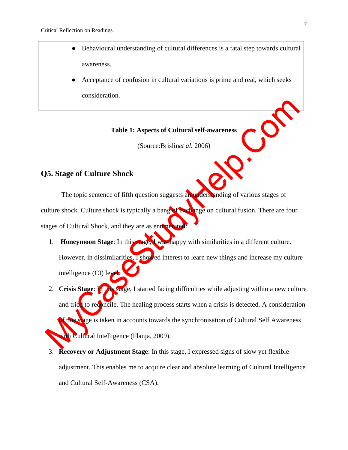- Behavioural understanding of cultural differences is a fatal step towards cultural awareness.
- Acceptance of confusion in cultural variations is prime and real, which seeks consideration.

#### **Table 1: Aspects of Cultural self-awareness**

(Source:Brislin*et al.* 2006)

## <span id="page-6-0"></span>**Q5. Stage of Culture Shock**

The topic sentence of fifth question suggests an understanding of various stages of culture shock. Culture shock is typically a bang of exchange on cultural fusion. There are four stages of Cultural Shock, and they are as enumerated

- 1. **Honeymoon Stage**: In this stage, I was happy with similarities in a different culture. However, in dissimilarities, I showed interest to learn new things and increase my culture intelligence (CI) level.
- 2. **Crisis Stage**: In this stage, I started facing difficulties while adjusting within a new culture and tried to reconcile. The healing process starts when a crisis is detected. A consideration f this stage is taken in accounts towards the synchronisation of Cultural Self Awareness wh Cultural Intelligence (Flanja, 2009).
- 3. **Recovery or Adjustment Stage**: In this stage, I expressed signs of slow yet flexible adjustment. This enables me to acquire clear and absolute learning of Cultural Intelligence and Cultural Self-Awareness (CSA).

 $\cdot$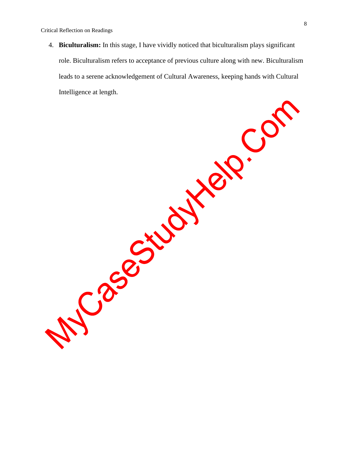Critical Reflection on Readings

4. **Biculturalism:** In this stage, I have vividly noticed that biculturalism plays significant role. Biculturalism refers to acceptance of previous culture along with new. Biculturalism leads to a serene acknowledgement of Cultural Awareness, keeping hands with Cultural Intelligence at length.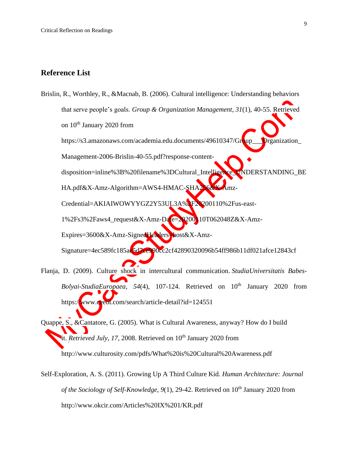## <span id="page-8-0"></span>**Reference List**

Brislin, R., Worthley, R., &Macnab, B. (2006). Cultural intelligence: Understanding behaviors that serve people's goals. *Group & Organization Management*, *31*(1), 40-55. Retrieved on  $10<sup>th</sup>$  January 2020 from https://s3.amazonaws.com/academia.edu.documents/49610347/Group\_\_\_Organization\_ Management-2006-Brislin-40-55.pdf?response-contentdisposition=inline%3B%20filename%3DCultural\_Intelligence\_UNDERSTANDING\_BE HA.pdf&X-Amz-Algorithm=AWS4-HMAC-SHA256&X-Amz-Credential=AKIAIWOWYYGZ2Y53UL3A%2F20200110%2Fus-east-1%2Fs3%2Faws4\_request&X-Amz-Date=20200110T062048Z&X-Amz-Expires=3600&X-Amz-SignedHeaders=host&X-Amz-Signature=4ec589fc185ae5d7ce990cc2cf42890320096b54ff986b11df021afce12843cf Flanja, D. (2009). Culture shock in intercultural communication. *StudiaUniversitatis Babes-Bolyai-StudiaEuropaea*, *54*(4), 107-124. Retrieved on 10th January 2020 from

https://www.ceeol.com/search/article-detail?id=124551

Quappe, S., &Cantatore, G. (2005). What is Cultural Awareness, anyway? How do I build <sup>i</sup>tt. *Retrieved July*, 17, 2008. Retrieved on 10<sup>th</sup> January 2020 from http://www.culturosity.com/pdfs/What%20is%20Cultural%20Awareness.pdf

Self-Exploration, A. S. (2011). Growing Up A Third Culture Kid. *Human Architecture: Journal of the Sociology of Self-Knowledge*, *9*(1), 29-42. Retrieved on 10th January 2020 from http://www.okcir.com/Articles%20IX%201/KR.pdf